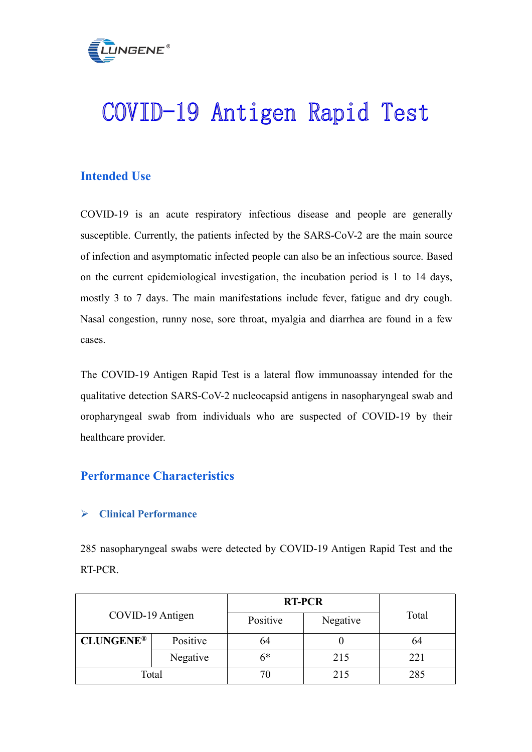

# COVID-19 Antigen Rapid Test

# **Intended Use**

COVID-19 is an acute respiratory infectious disease and people are generally susceptible. Currently, the patients infected by the SARS-CoV-2 are the main source of infection and asymptomatic infected people can also be an infectious source. Based on the current epidemiological investigation, the incubation period is 1 to 14 days, mostly 3 to 7 days. The main manifestations include fever, fatigue and dry cough. Nasal congestion, runny nose, sore throat, myalgia and diarrhea are found in a few cases.

The COVID-19 Antigen Rapid Test is a lateral flow immunoassay intended for the qualitative detection SARS-CoV-2 nucleocapsid antigens in nasopharyngeal swab and oropharyngeal swab from individuals who are suspected of COVID-19 by their healthcare provider.

# **Performance Characteristics**

### **Clinical Performance**

285 nasopharyngeal swabs were detected by COVID-19 Antigen Rapid Test and the RT-PCR.

|                  |          | <b>RT-PCR</b> |          |       |
|------------------|----------|---------------|----------|-------|
| COVID-19 Antigen |          | Positive      | Negative | Total |
| <b>CLUNGENE®</b> | Positive | 64            |          | 64    |
|                  | Negative | 6*            | 215      | 221   |
| Total            |          | 70            | 215      | 285   |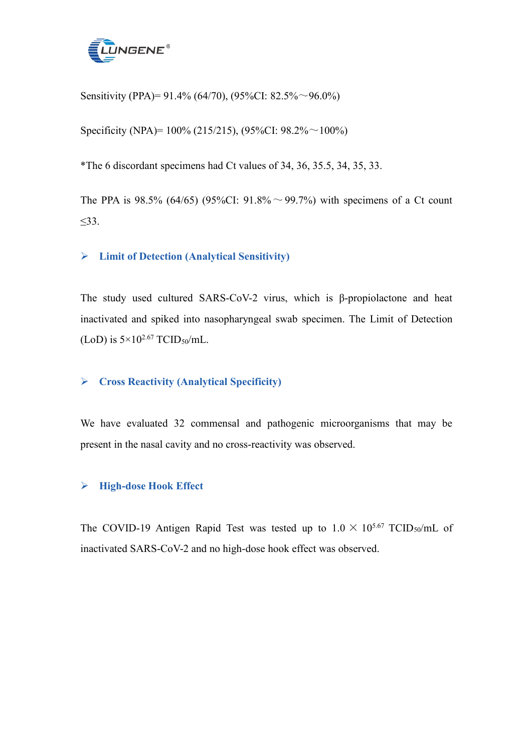

Sensitivity (PPA)= 91.4% (64/70), (95%CI: 82.5% ~ 96.0%)

Specificity (NPA)=  $100\%$  (215/215), (95%CI: 98.2% $\sim$  100%)

\*The 6 discordant specimens had Ct values of34, 36, 35.5, 34, 35, 33.

The PPA is 98.5% (64/65) (95%CI: 91.8%  $\sim$  99.7%) with specimens of a Ct count ≤33.

### **Limit of Detection (Analytical Sensitivity)**

The study used cultured SARS-CoV-2 virus, which is β-propiolactone and heat inactivated and spiked into nasopharyngeal swab specimen. The Limit of Detection (LoD) is  $5 \times 10^{2.67}$  TCID<sub>50</sub>/mL.

### **Cross Reactivity (Analytical Specificity)**

We have evaluated 32 commensal and pathogenic microorganisms that may be present in the nasal cavity and no cross-reactivity was observed.

### **High-dose Hook Effect**

The COVID-19 Antigen Rapid Test was tested up to  $1.0 \times 10^{5.67}$  TCID<sub>50</sub>/mL of inactivated SARS-CoV-2 and no high-dose hook effect was observed.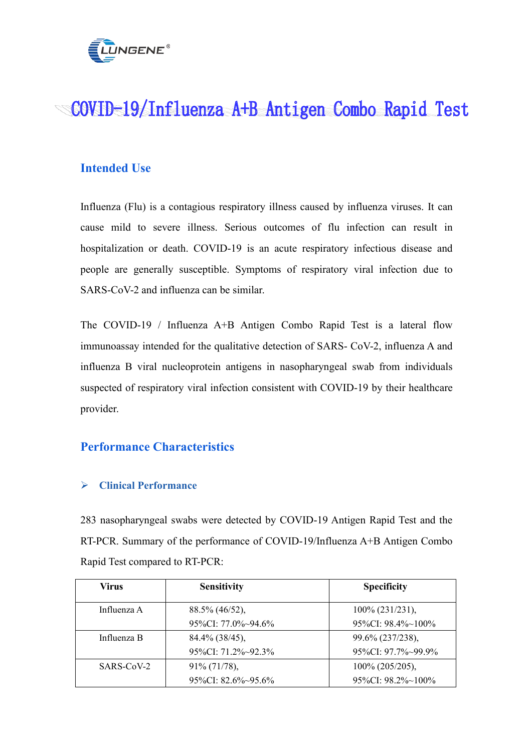

# COVID-19/Influenza A+B Antigen Combo Rapid Test

## **Intended Use**

Influenza (Flu) is a contagious respiratory illness caused by influenza viruses. It can cause mild to severe illness. Serious outcomes of flu infection can result in hospitalization or death. COVID-19 is an acute respiratory infectious disease and people are generally susceptible. Symptoms of respiratory viral infection due to SARS-CoV-2 and influenza can be similar.

The COVID-19 / Influenza  $A+B$  Antigen Combo Rapid Test is a lateral flow immunoassay intended for the qualitative detection of SARS- CoV-2, influenza A and influenza B viral nucleoprotein antigens in nasopharyngeal swab from individuals suspected of respiratory viral infection consistent with COVID-19 by their healthcare provider.

### **Performance Characteristics**

### **Clinical Performance**

283 nasopharyngeal swabs were detected by COVID-19 Antigen Rapid Test and the RT-PCR. Summary of the performance of COVID-19/Influenza A+B Antigen Combo Rapid Test compared to RT-PCR:

| Virus       | <b>Sensitivity</b>         | <b>Specificity</b>            |
|-------------|----------------------------|-------------------------------|
| Influenza A | $88.5\%$ (46/52),          | $100\%$ (231/231),            |
|             | 95\%CI: 77.0\%\times\95\%  | $95\%$ CI: $98.4\%$ ~ $100\%$ |
| Influenza B | $84.4\%$ (38/45),          | 99.6% (237/238),              |
|             | $95\%$ CI: 71.2\% - 92.3\% | 95%CI: 97.7%~99.9%            |
| SARS-CoV-2  | $91\% (71/78),$            | $100\%$ (205/205),            |
|             | 95\%CI: $82.6\%~95.6\%$    | $95\%$ CI: $98.2\%$ ~ $100\%$ |